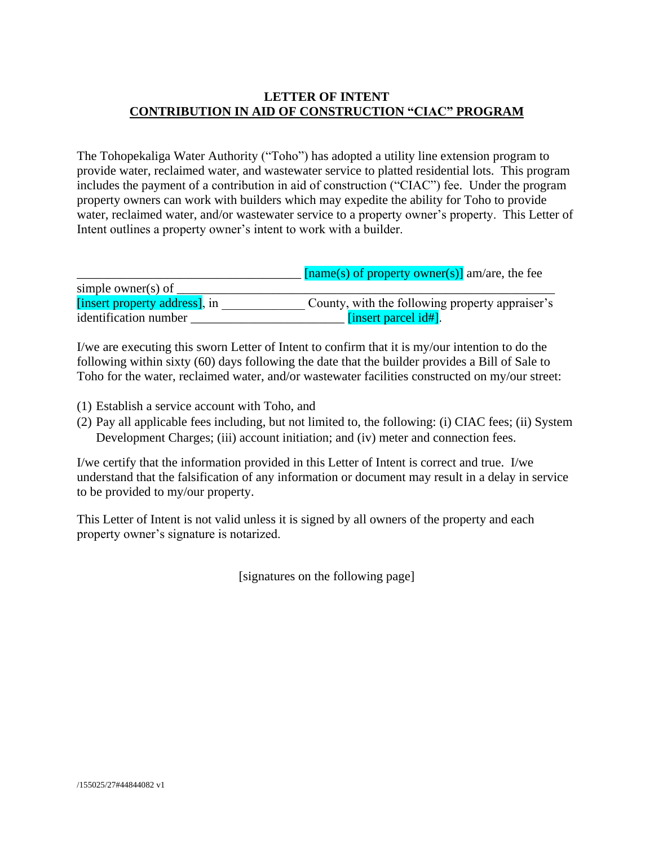## **LETTER OF INTENT CONTRIBUTION IN AID OF CONSTRUCTION "CIAC" PROGRAM**

The Tohopekaliga Water Authority ("Toho") has adopted a utility line extension program to provide water, reclaimed water, and wastewater service to platted residential lots. This program includes the payment of a contribution in aid of construction ("CIAC") fee. Under the program property owners can work with builders which may expedite the ability for Toho to provide water, reclaimed water, and/or wastewater service to a property owner's property. This Letter of Intent outlines a property owner's intent to work with a builder.

|                               | $[\text{name}(s)$ of property owner(s)] am/are, the fee |
|-------------------------------|---------------------------------------------------------|
| simple owner(s) of            |                                                         |
| [insert property address], in | County, with the following property appraiser's         |
| identification number         | [insert parcel $id\#$ ].                                |

I/we are executing this sworn Letter of Intent to confirm that it is my/our intention to do the following within sixty (60) days following the date that the builder provides a Bill of Sale to Toho for the water, reclaimed water, and/or wastewater facilities constructed on my/our street:

- (1) Establish a service account with Toho, and
- (2) Pay all applicable fees including, but not limited to, the following: (i) CIAC fees; (ii) System Development Charges; (iii) account initiation; and (iv) meter and connection fees.

I/we certify that the information provided in this Letter of Intent is correct and true. I/we understand that the falsification of any information or document may result in a delay in service to be provided to my/our property.

This Letter of Intent is not valid unless it is signed by all owners of the property and each property owner's signature is notarized.

[signatures on the following page]